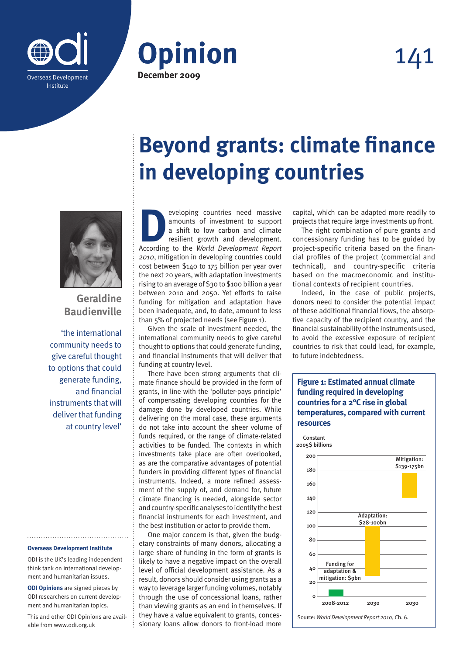





**Geraldine Baudienville**

'the international community needs to give careful thought to options that could generate funding, and financial instruments that will deliver that funding at country level'

## **Overseas Development Institute**

ODI is the UK's leading independent think tank on international development and humanitarian issues.

**ODI Opinions** are signed pieces by ODI researchers on current development and humanitarian topics.

This and other ODI Opinions are available from www.odi.org.uk

## **Beyond grants: climate finance in developing countries**

eveloping countries need massive<br>
amounts of investment to support<br>
a shift to low carbon and climate<br>
resilient growth and development.<br>
According to the *World Development Report* amounts of investment to support a shift to low carbon and climate resilient growth and development. *2010*, mitigation in developing countries could cost between \$140 to 175 billion per year over the next 20 years, with adaptation investments rising to an average of \$30 to \$100 billion a year between 2010 and 2050. Yet efforts to raise funding for mitigation and adaptation have been inadequate, and, to date, amount to less than 5% of projected needs (see Figure 1).

Given the scale of investment needed, the international community needs to give careful thought to options that could generate funding, and financial instruments that will deliver that funding at country level.

There have been strong arguments that climate finance should be provided in the form of grants, in line with the 'polluter-pays principle' of compensating developing countries for the damage done by developed countries. While delivering on the moral case, these arguments do not take into account the sheer volume of funds required, or the range of climate-related activities to be funded. The contexts in which investments take place are often overlooked, as are the comparative advantages of potential funders in providing different types of financial instruments. Indeed, a more refined assessment of the supply of, and demand for, future climate financing is needed, alongside sector and country-specific analyses to identify the best financial instruments for each investment, and the best institution or actor to provide them.

One major concern is that, given the budgetary constraints of many donors, allocating a large share of funding in the form of grants is likely to have a negative impact on the overall level of official development assistance. As a result, donors should consider using grants as a way to leverage larger funding volumes, notably through the use of concessional loans, rather than viewing grants as an end in themselves. If they have a value equivalent to grants, concessionary loans allow donors to front-load more capital, which can be adapted more readily to projects that require large investments up front.

The right combination of pure grants and concessionary funding has to be guided by project-specific criteria based on the financial profiles of the project (commercial and technical), and country-specific criteria based on the macroeconomic and institutional contexts of recipient countries.

Indeed, in the case of public projects, donors need to consider the potential impact of these additional financial flows, the absorptive capacity of the recipient country, and the financial sustainability of the instruments used, to avoid the excessive exposure of recipient countries to risk that could lead, for example, to future indebtedness.